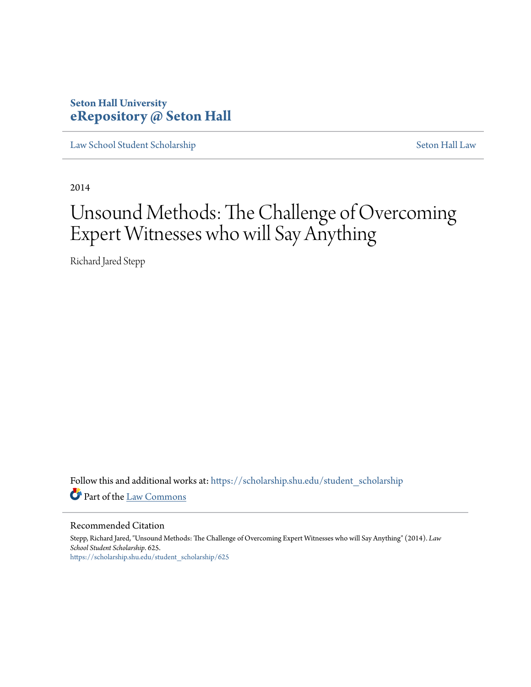### **Seton Hall University [eRepository @ Seton Hall](https://scholarship.shu.edu?utm_source=scholarship.shu.edu%2Fstudent_scholarship%2F625&utm_medium=PDF&utm_campaign=PDFCoverPages)**

[Law School Student Scholarship](https://scholarship.shu.edu/student_scholarship?utm_source=scholarship.shu.edu%2Fstudent_scholarship%2F625&utm_medium=PDF&utm_campaign=PDFCoverPages) [Seton Hall Law](https://scholarship.shu.edu/law?utm_source=scholarship.shu.edu%2Fstudent_scholarship%2F625&utm_medium=PDF&utm_campaign=PDFCoverPages)

2014

# Unsound Methods: The Challenge of Overcoming Expert Witnesses who will Say Anything

Richard Jared Stepp

Follow this and additional works at: [https://scholarship.shu.edu/student\\_scholarship](https://scholarship.shu.edu/student_scholarship?utm_source=scholarship.shu.edu%2Fstudent_scholarship%2F625&utm_medium=PDF&utm_campaign=PDFCoverPages) Part of the [Law Commons](http://network.bepress.com/hgg/discipline/578?utm_source=scholarship.shu.edu%2Fstudent_scholarship%2F625&utm_medium=PDF&utm_campaign=PDFCoverPages)

Recommended Citation

Stepp, Richard Jared, "Unsound Methods: The Challenge of Overcoming Expert Witnesses who will Say Anything" (2014). *Law School Student Scholarship*. 625. [https://scholarship.shu.edu/student\\_scholarship/625](https://scholarship.shu.edu/student_scholarship/625?utm_source=scholarship.shu.edu%2Fstudent_scholarship%2F625&utm_medium=PDF&utm_campaign=PDFCoverPages)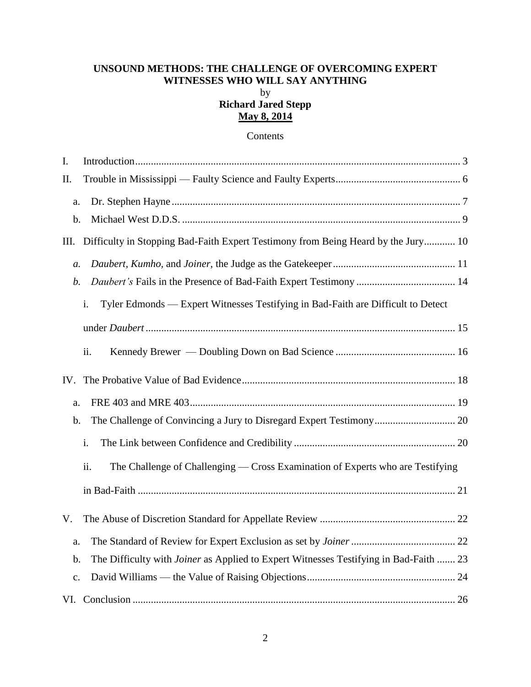### **UNSOUND METHODS: THE CHALLENGE OF OVERCOMING EXPERT WITNESSES WHO WILL SAY ANYTHING**

by

#### **Richard Jared Stepp May 8, 2014**

#### Contents

| I.                                                                                                 |
|----------------------------------------------------------------------------------------------------|
| II.                                                                                                |
| a.                                                                                                 |
| b.                                                                                                 |
| Difficulty in Stopping Bad-Faith Expert Testimony from Being Heard by the Jury 10<br>Ш.            |
| a.                                                                                                 |
| $\mathfrak{b}.$                                                                                    |
| i.<br>Tyler Edmonds — Expert Witnesses Testifying in Bad-Faith are Difficult to Detect             |
|                                                                                                    |
| ii.                                                                                                |
| IV.                                                                                                |
| a.                                                                                                 |
| b.                                                                                                 |
| i.                                                                                                 |
| The Challenge of Challenging — Cross Examination of Experts who are Testifying<br>ii.              |
|                                                                                                    |
| V.                                                                                                 |
| a.                                                                                                 |
| The Difficulty with <i>Joiner</i> as Applied to Expert Witnesses Testifying in Bad-Faith  23<br>b. |
| c.                                                                                                 |
| VI.                                                                                                |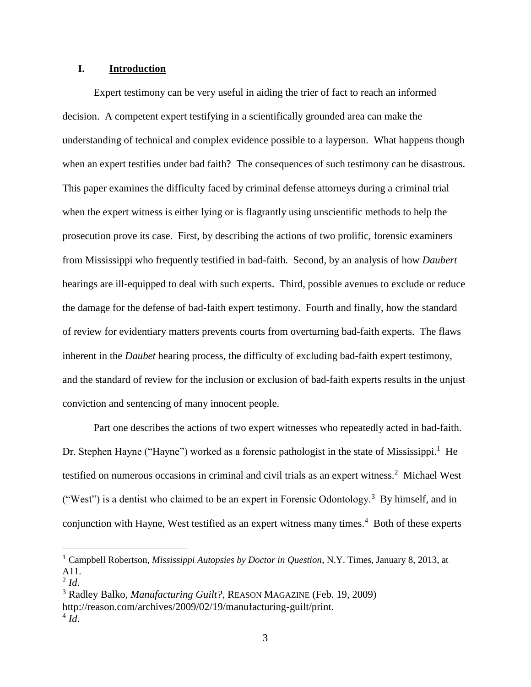#### <span id="page-2-0"></span>**I. Introduction**

Expert testimony can be very useful in aiding the trier of fact to reach an informed decision. A competent expert testifying in a scientifically grounded area can make the understanding of technical and complex evidence possible to a layperson. What happens though when an expert testifies under bad faith? The consequences of such testimony can be disastrous. This paper examines the difficulty faced by criminal defense attorneys during a criminal trial when the expert witness is either lying or is flagrantly using unscientific methods to help the prosecution prove its case. First, by describing the actions of two prolific, forensic examiners from Mississippi who frequently testified in bad-faith. Second, by an analysis of how *Daubert* hearings are ill-equipped to deal with such experts. Third, possible avenues to exclude or reduce the damage for the defense of bad-faith expert testimony. Fourth and finally, how the standard of review for evidentiary matters prevents courts from overturning bad-faith experts. The flaws inherent in the *Daubet* hearing process, the difficulty of excluding bad-faith expert testimony, and the standard of review for the inclusion or exclusion of bad-faith experts results in the unjust conviction and sentencing of many innocent people.

Part one describes the actions of two expert witnesses who repeatedly acted in bad-faith. Dr. Stephen Hayne ("Hayne") worked as a forensic pathologist in the state of Mississippi.<sup>1</sup> He testified on numerous occasions in criminal and civil trials as an expert witness.<sup>2</sup> Michael West ("West") is a dentist who claimed to be an expert in Forensic Odontology.<sup>3</sup> By himself, and in conjunction with Hayne, West testified as an expert witness many times.<sup>4</sup> Both of these experts

<sup>1</sup> Campbell Robertson, *Mississippi Autopsies by Doctor in Question*, N.Y. Times, January 8, 2013, at A11.

<sup>2</sup> *Id*.

<sup>3</sup> Radley Balko, *Manufacturing Guilt?*, REASON MAGAZINE (Feb. 19, 2009) http://reason.com/archives/2009/02/19/manufacturing-guilt/print. 4 *Id*.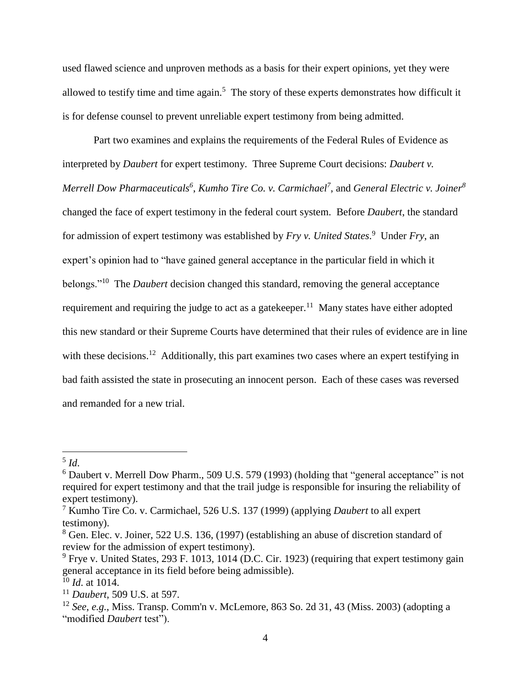used flawed science and unproven methods as a basis for their expert opinions, yet they were allowed to testify time and time again.<sup>5</sup> The story of these experts demonstrates how difficult it is for defense counsel to prevent unreliable expert testimony from being admitted.

Part two examines and explains the requirements of the Federal Rules of Evidence as interpreted by *Daubert* for expert testimony. Three Supreme Court decisions: *Daubert v. Merrell Dow Pharmaceuticals<sup>6</sup>* , *Kumho Tire Co. v. Carmichael<sup>7</sup>* , and *General Electric v. Joiner<sup>8</sup>* changed the face of expert testimony in the federal court system. Before *Daubert*, the standard for admission of expert testimony was established by *Fry v. United States*. 9 Under *Fry*, an expert's opinion had to "have gained general acceptance in the particular field in which it belongs."<sup>10</sup> The *Daubert* decision changed this standard, removing the general acceptance requirement and requiring the judge to act as a gatekeeper.<sup>11</sup> Many states have either adopted this new standard or their Supreme Courts have determined that their rules of evidence are in line with these decisions.<sup>12</sup> Additionally, this part examines two cases where an expert testifying in bad faith assisted the state in prosecuting an innocent person. Each of these cases was reversed and remanded for a new trial.

<sup>5</sup> *Id*.

 $6$  Daubert v. Merrell Dow Pharm., 509 U.S. 579 (1993) (holding that "general acceptance" is not required for expert testimony and that the trail judge is responsible for insuring the reliability of expert testimony).

<sup>7</sup> Kumho Tire Co. v. Carmichael, 526 U.S. 137 (1999) (applying *Daubert* to all expert testimony).

<sup>&</sup>lt;sup>8</sup> Gen. Elec. v. Joiner, 522 U.S. 136, (1997) (establishing an abuse of discretion standard of review for the admission of expert testimony).

 $9$  Frye v. United States, 293 F. 1013, 1014 (D.C. Cir. 1923) (requiring that expert testimony gain general acceptance in its field before being admissible).

 $^{10}$  *Id.* at 1014.

<sup>11</sup> *Daubert*, 509 U.S. at 597.

<sup>12</sup> *See*, *e.g.*, Miss. Transp. Comm'n v. McLemore, 863 So. 2d 31, 43 (Miss. 2003) (adopting a "modified *Daubert* test").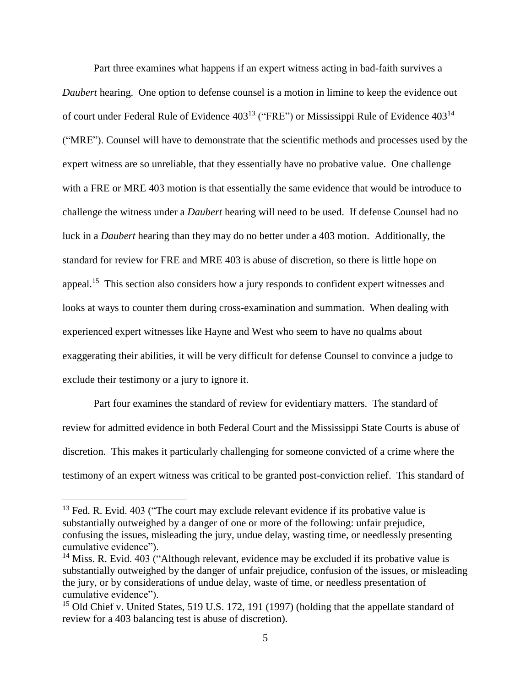Part three examines what happens if an expert witness acting in bad-faith survives a *Daubert* hearing. One option to defense counsel is a motion in limine to keep the evidence out of court under Federal Rule of Evidence 403<sup>13</sup> ("FRE") or Mississippi Rule of Evidence 403<sup>14</sup> ("MRE"). Counsel will have to demonstrate that the scientific methods and processes used by the expert witness are so unreliable, that they essentially have no probative value. One challenge with a FRE or MRE 403 motion is that essentially the same evidence that would be introduce to challenge the witness under a *Daubert* hearing will need to be used. If defense Counsel had no luck in a *Daubert* hearing than they may do no better under a 403 motion. Additionally, the standard for review for FRE and MRE 403 is abuse of discretion, so there is little hope on appeal.<sup>15</sup> This section also considers how a jury responds to confident expert witnesses and looks at ways to counter them during cross-examination and summation. When dealing with experienced expert witnesses like Hayne and West who seem to have no qualms about exaggerating their abilities, it will be very difficult for defense Counsel to convince a judge to exclude their testimony or a jury to ignore it.

Part four examines the standard of review for evidentiary matters. The standard of review for admitted evidence in both Federal Court and the Mississippi State Courts is abuse of discretion. This makes it particularly challenging for someone convicted of a crime where the testimony of an expert witness was critical to be granted post-conviction relief. This standard of

 $13$  Fed. R. Evid. 403 ("The court may exclude relevant evidence if its probative value is substantially outweighed by a danger of one or more of the following: unfair prejudice, confusing the issues, misleading the jury, undue delay, wasting time, or needlessly presenting cumulative evidence").

 $14$  Miss. R. Evid. 403 ("Although relevant, evidence may be excluded if its probative value is substantially outweighed by the danger of unfair prejudice, confusion of the issues, or misleading the jury, or by considerations of undue delay, waste of time, or needless presentation of cumulative evidence").

<sup>&</sup>lt;sup>15</sup> Old Chief v. United States, 519 U.S. 172, 191 (1997) (holding that the appellate standard of review for a 403 balancing test is abuse of discretion).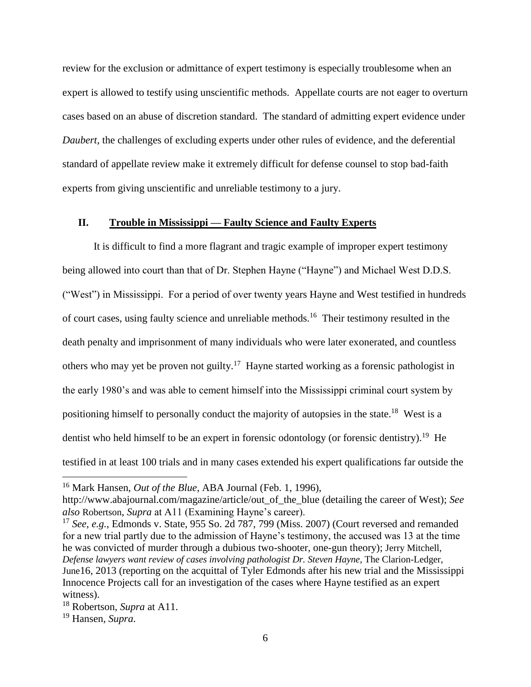review for the exclusion or admittance of expert testimony is especially troublesome when an expert is allowed to testify using unscientific methods. Appellate courts are not eager to overturn cases based on an abuse of discretion standard. The standard of admitting expert evidence under *Daubert*, the challenges of excluding experts under other rules of evidence, and the deferential standard of appellate review make it extremely difficult for defense counsel to stop bad-faith experts from giving unscientific and unreliable testimony to a jury.

#### <span id="page-5-0"></span>**II. Trouble in Mississippi — Faulty Science and Faulty Experts**

It is difficult to find a more flagrant and tragic example of improper expert testimony being allowed into court than that of Dr. Stephen Hayne ("Hayne") and Michael West D.D.S. ("West") in Mississippi. For a period of over twenty years Hayne and West testified in hundreds of court cases, using faulty science and unreliable methods.<sup>16</sup> Their testimony resulted in the death penalty and imprisonment of many individuals who were later exonerated, and countless others who may yet be proven not guilty.<sup>17</sup> Hayne started working as a forensic pathologist in the early 1980's and was able to cement himself into the Mississippi criminal court system by positioning himself to personally conduct the majority of autopsies in the state.<sup>18</sup> West is a dentist who held himself to be an expert in forensic odontology (or forensic dentistry).<sup>19</sup> He testified in at least 100 trials and in many cases extended his expert qualifications far outside the

<sup>16</sup> Mark Hansen, *Out of the Blue*, ABA Journal (Feb. 1, 1996),

http://www.abajournal.com/magazine/article/out\_of\_the\_blue (detailing the career of West); *See also* Robertson, *Supra* at A11 (Examining Hayne's career).

<sup>17</sup> *See*, *e.g.*, Edmonds v. State, 955 So. 2d 787, 799 (Miss. 2007) (Court reversed and remanded for a new trial partly due to the admission of Hayne's testimony, the accused was 13 at the time he was convicted of murder through a dubious two-shooter, one-gun theory); Jerry Mitchell, *Defense lawyers want review of cases involving pathologist Dr. Steven Hayne*, The Clarion-Ledger, June16, 2013 (reporting on the acquittal of Tyler Edmonds after his new trial and the Mississippi Innocence Projects call for an investigation of the cases where Hayne testified as an expert witness).

<sup>18</sup> Robertson, *Supra* at A11.

<sup>19</sup> Hansen, *Supra*.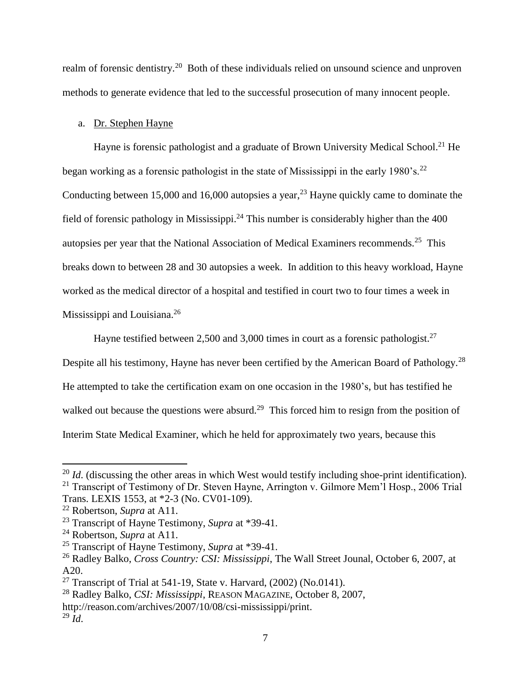realm of forensic dentistry.<sup>20</sup> Both of these individuals relied on unsound science and unproven methods to generate evidence that led to the successful prosecution of many innocent people.

#### <span id="page-6-0"></span>a. Dr. Stephen Hayne

Hayne is forensic pathologist and a graduate of Brown University Medical School.<sup>21</sup> He began working as a forensic pathologist in the state of Mississippi in the early 1980's.<sup>22</sup> Conducting between 15,000 and 16,000 autopsies a year,<sup>23</sup> Hayne quickly came to dominate the field of forensic pathology in Mississippi.<sup>24</sup> This number is considerably higher than the  $400$ autopsies per year that the National Association of Medical Examiners recommends.<sup>25</sup> This breaks down to between 28 and 30 autopsies a week. In addition to this heavy workload, Hayne worked as the medical director of a hospital and testified in court two to four times a week in Mississippi and Louisiana.<sup>26</sup>

Hayne testified between 2,500 and 3,000 times in court as a forensic pathologist.<sup>27</sup>

Despite all his testimony, Hayne has never been certified by the American Board of Pathology.<sup>28</sup> He attempted to take the certification exam on one occasion in the 1980's, but has testified he walked out because the questions were absurd.<sup>29</sup> This forced him to resign from the position of Interim State Medical Examiner, which he held for approximately two years, because this

- Trans. LEXIS 1553, at \*2-3 (No. CV01-109).
- <sup>22</sup> Robertson, *Supra* at A11.

 $^{20}$  *Id.* (discussing the other areas in which West would testify including shoe-print identification). <sup>21</sup> Transcript of Testimony of Dr. Steven Hayne, Arrington v. Gilmore Mem'l Hosp., 2006 Trial

<sup>23</sup> Transcript of Hayne Testimony, *Supra* at \*39-41.

<sup>24</sup> Robertson, *Supra* at A11.

<sup>25</sup> Transcript of Hayne Testimony, *Supra* at \*39-41.

<sup>26</sup> Radley Balko, *Cross Country: CSI: Mississippi*, The Wall Street Jounal, October 6, 2007, at A20.

<sup>&</sup>lt;sup>27</sup> Transcript of Trial at 541-19, State v. Harvard,  $(2002)$  (No.0141).

<sup>28</sup> Radley Balko, *CSI: Mississippi*, REASON MAGAZINE, October 8, 2007, http://reason.com/archives/2007/10/08/csi-mississippi/print.

 $^{29}$   $\tilde{I}$ *d*.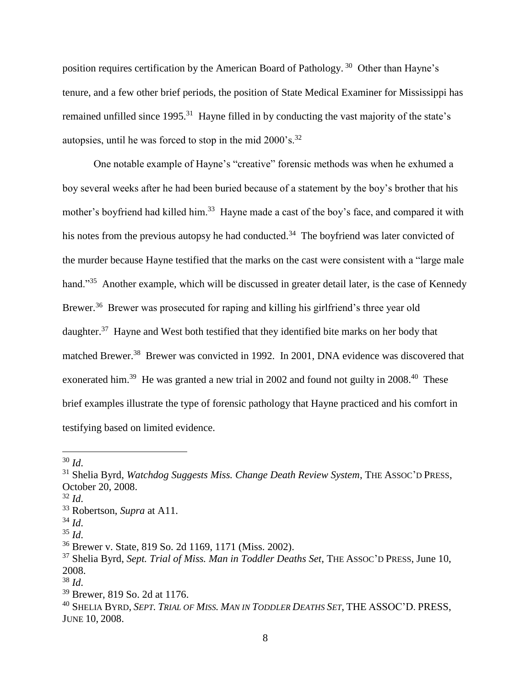position requires certification by the American Board of Pathology.<sup>30</sup> Other than Hayne's tenure, and a few other brief periods, the position of State Medical Examiner for Mississippi has remained unfilled since 1995.<sup>31</sup> Hayne filled in by conducting the vast majority of the state's autopsies, until he was forced to stop in the mid  $2000$ 's.<sup>32</sup>

One notable example of Hayne's "creative" forensic methods was when he exhumed a boy several weeks after he had been buried because of a statement by the boy's brother that his mother's boyfriend had killed him.<sup>33</sup> Hayne made a cast of the boy's face, and compared it with his notes from the previous autopsy he had conducted.<sup>34</sup> The boyfriend was later convicted of the murder because Hayne testified that the marks on the cast were consistent with a "large male hand."<sup>35</sup> Another example, which will be discussed in greater detail later, is the case of Kennedy Brewer.<sup>36</sup> Brewer was prosecuted for raping and killing his girlfriend's three year old daughter.<sup>37</sup> Hayne and West both testified that they identified bite marks on her body that matched Brewer.<sup>38</sup> Brewer was convicted in 1992. In 2001, DNA evidence was discovered that exonerated him.<sup>39</sup> He was granted a new trial in 2002 and found not guilty in 2008.<sup>40</sup> These brief examples illustrate the type of forensic pathology that Hayne practiced and his comfort in testifying based on limited evidence.

 $30$  *Id.* 

<sup>31</sup> Shelia Byrd, *Watchdog Suggests Miss. Change Death Review System*, THE ASSOC'D PRESS, October 20, 2008.

<sup>32</sup> *Id*.

<sup>33</sup> Robertson, *Supra* at A11.

 $34$  *Id.* 

 $35$  *Id.* 

<sup>36</sup> Brewer v. State, 819 So. 2d 1169, 1171 (Miss. 2002).

<sup>37</sup> Shelia Byrd, *Sept. Trial of Miss. Man in Toddler Deaths Set*, THE ASSOC'D PRESS, June 10, 2008.

<sup>38</sup> *Id*.

<sup>39</sup> Brewer, 819 So. 2d at 1176.

<sup>40</sup> SHELIA BYRD, *SEPT. TRIAL OF MISS. MAN IN TODDLER DEATHS SET*, THE ASSOC'D. PRESS, JUNE 10, 2008.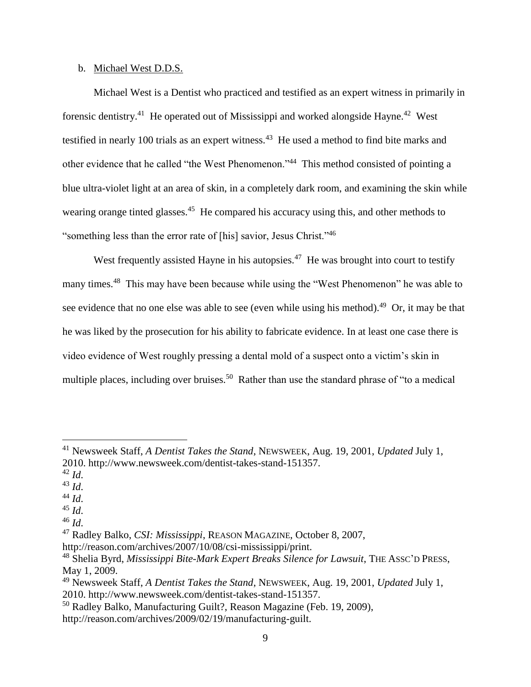#### <span id="page-8-0"></span>b. Michael West D.D.S.

Michael West is a Dentist who practiced and testified as an expert witness in primarily in forensic dentistry.<sup>41</sup> He operated out of Mississippi and worked alongside Hayne.<sup>42</sup> West testified in nearly 100 trials as an expert witness.<sup>43</sup> He used a method to find bite marks and other evidence that he called "the West Phenomenon."<sup>44</sup> This method consisted of pointing a blue ultra-violet light at an area of skin, in a completely dark room, and examining the skin while wearing orange tinted glasses.<sup>45</sup> He compared his accuracy using this, and other methods to "something less than the error rate of [his] savior, Jesus Christ."<sup>46</sup>

West frequently assisted Hayne in his autopsies. $47$  He was brought into court to testify many times.<sup>48</sup> This may have been because while using the "West Phenomenon" he was able to see evidence that no one else was able to see (even while using his method).<sup>49</sup> Or, it may be that he was liked by the prosecution for his ability to fabricate evidence. In at least one case there is video evidence of West roughly pressing a dental mold of a suspect onto a victim's skin in multiple places, including over bruises.<sup>50</sup> Rather than use the standard phrase of "to a medical

 $\overline{a}$ 

<sup>45</sup> *Id*.

<sup>46</sup> *Id*.

<sup>41</sup> Newsweek Staff, *A Dentist Takes the Stand*, NEWSWEEK, Aug. 19, 2001, *Updated* July 1, 2010. http://www.newsweek.com/dentist-takes-stand-151357.

 $^{42}$  *Id.* 

<sup>43</sup> *Id*.

<sup>44</sup> *Id*.

<sup>47</sup> Radley Balko, *CSI: Mississippi*, REASON MAGAZINE, October 8, 2007, http://reason.com/archives/2007/10/08/csi-mississippi/print.

<sup>48</sup> Shelia Byrd, *Mississippi Bite-Mark Expert Breaks Silence for Lawsuit*, THE ASSC'D PRESS, May 1, 2009.

<sup>49</sup> Newsweek Staff, *A Dentist Takes the Stand*, NEWSWEEK, Aug. 19, 2001, *Updated* July 1, 2010. http://www.newsweek.com/dentist-takes-stand-151357.

<sup>50</sup> Radley Balko, Manufacturing Guilt?, Reason Magazine (Feb. 19, 2009), http://reason.com/archives/2009/02/19/manufacturing-guilt.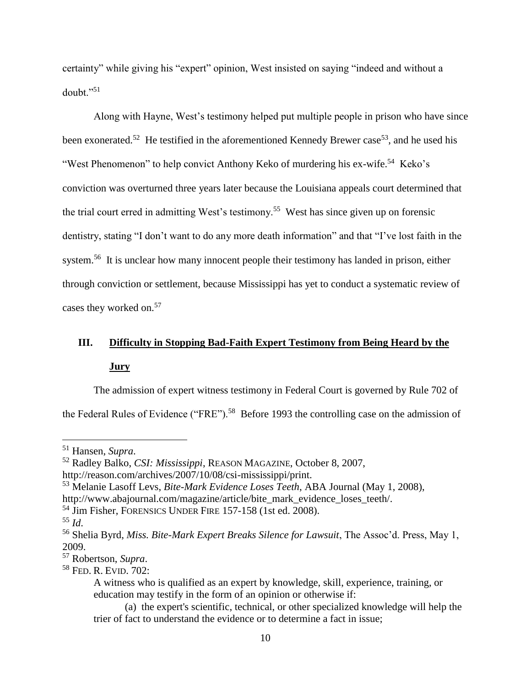certainty" while giving his "expert" opinion, West insisted on saying "indeed and without a doubt $\cdot$ <sup>51</sup>

Along with Hayne, West's testimony helped put multiple people in prison who have since been exonerated.<sup>52</sup> He testified in the aforementioned Kennedy Brewer case<sup>53</sup>, and he used his "West Phenomenon" to help convict Anthony Keko of murdering his ex-wife.<sup>54</sup> Keko's conviction was overturned three years later because the Louisiana appeals court determined that the trial court erred in admitting West's testimony.<sup>55</sup> West has since given up on forensic dentistry, stating "I don't want to do any more death information" and that "I've lost faith in the system.<sup>56</sup> It is unclear how many innocent people their testimony has landed in prison, either through conviction or settlement, because Mississippi has yet to conduct a systematic review of cases they worked on.<sup>57</sup>

## <span id="page-9-0"></span>**III. Difficulty in Stopping Bad-Faith Expert Testimony from Being Heard by the Jury**

The admission of expert witness testimony in Federal Court is governed by Rule 702 of the Federal Rules of Evidence ("FRE").<sup>58</sup> Before 1993 the controlling case on the admission of

<sup>51</sup> Hansen, *Supra*.

<sup>52</sup> Radley Balko, *CSI: Mississippi*, REASON MAGAZINE, October 8, 2007,

http://reason.com/archives/2007/10/08/csi-mississippi/print.

<sup>53</sup> Melanie Lasoff Levs, *Bite-Mark Evidence Loses Teeth*, ABA Journal (May 1, 2008), http://www.abajournal.com/magazine/article/bite\_mark\_evidence\_loses\_teeth/.

<sup>&</sup>lt;sup>54</sup> Jim Fisher, FORENSICS UNDER FIRE 157-158 (1st ed. 2008).

<sup>55</sup> *Id*.

<sup>56</sup> Shelia Byrd, *Miss. Bite-Mark Expert Breaks Silence for Lawsuit*, The Assoc'd. Press, May 1, 2009.

<sup>57</sup> Robertson, *Supra*.

<sup>58</sup> FED. R. EVID. 702:

A witness who is qualified as an expert by knowledge, skill, experience, training, or education may testify in the form of an opinion or otherwise if:

<sup>(</sup>a) the expert's scientific, technical, or other specialized knowledge will help the trier of fact to understand the evidence or to determine a fact in issue;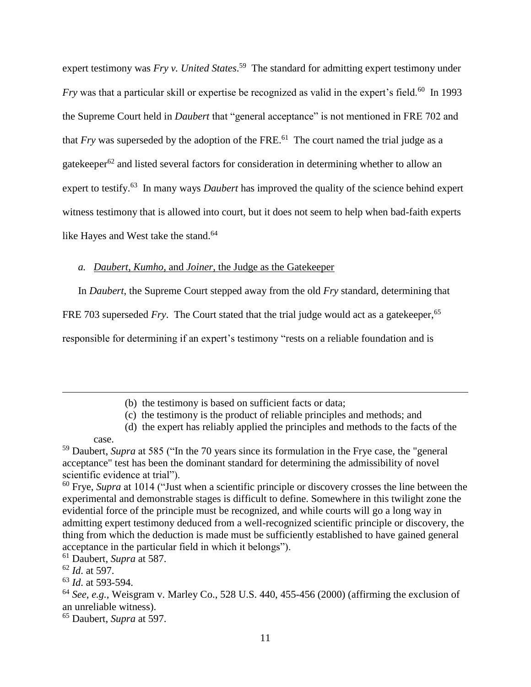expert testimony was *Fry v. United States*. 59 The standard for admitting expert testimony under *Fry* was that a particular skill or expertise be recognized as valid in the expert's field.<sup>60</sup> In 1993 the Supreme Court held in *Daubert* that "general acceptance" is not mentioned in FRE 702 and that  $Fry$  was superseded by the adoption of the FRE.<sup>61</sup> The court named the trial judge as a gatekeeper<sup>62</sup> and listed several factors for consideration in determining whether to allow an expert to testify.<sup>63</sup> In many ways *Daubert* has improved the quality of the science behind expert witness testimony that is allowed into court, but it does not seem to help when bad-faith experts like Hayes and West take the stand.<sup>64</sup>

<span id="page-10-0"></span>*a. Daubert*, *Kumho,* and *Joiner*, the Judge as the Gatekeeper

In *Daubert*, the Supreme Court stepped away from the old *Fry* standard, determining that

FRE 703 superseded *Fry*. The Court stated that the trial judge would act as a gatekeeper,<sup>65</sup>

responsible for determining if an expert's testimony "rests on a reliable foundation and is

- (d) the expert has reliably applied the principles and methods to the facts of the
- case.

 $\overline{a}$ 

<sup>61</sup> Daubert, *Supra* at 587.

<sup>(</sup>b) the testimony is based on sufficient facts or data;

<sup>(</sup>c) the testimony is the product of reliable principles and methods; and

<sup>59</sup> Daubert, *Supra* at 585 ("In the 70 years since its formulation in the Frye case, the "general acceptance" test has been the dominant standard for determining the admissibility of novel scientific evidence at trial").

<sup>60</sup> Frye, *Supra* at 1014 ("Just when a scientific principle or discovery crosses the line between the experimental and demonstrable stages is difficult to define. Somewhere in this twilight zone the evidential force of the principle must be recognized, and while courts will go a long way in admitting expert testimony deduced from a well-recognized scientific principle or discovery, the thing from which the deduction is made must be sufficiently established to have gained general acceptance in the particular field in which it belongs").

<sup>62</sup> *Id*. at 597.

<sup>63</sup> *Id*. at 593-594.

<sup>64</sup> *See*, *e.g.*, Weisgram v. Marley Co., 528 U.S. 440, 455-456 (2000) (affirming the exclusion of an unreliable witness).

<sup>65</sup> Daubert, *Supra* at 597.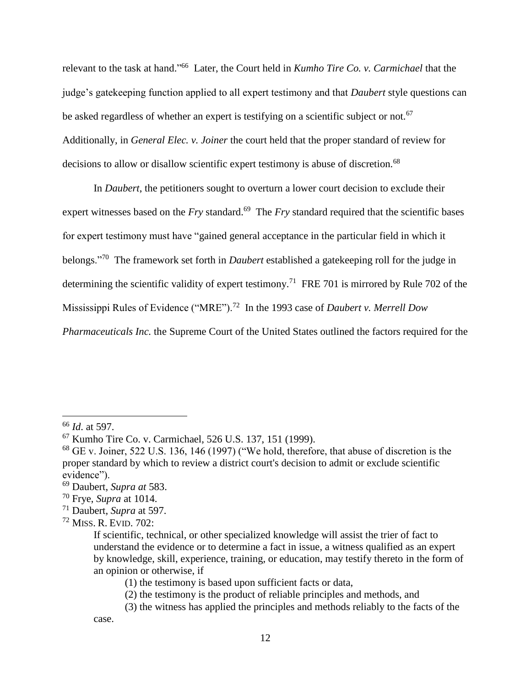relevant to the task at hand." 66 Later, the Court held in *Kumho Tire Co. v. Carmichael* that the judge's gatekeeping function applied to all expert testimony and that *Daubert* style questions can be asked regardless of whether an expert is testifying on a scientific subject or not.<sup>67</sup> Additionally, in *General Elec. v. Joiner* the court held that the proper standard of review for decisions to allow or disallow scientific expert testimony is abuse of discretion.<sup>68</sup>

In *Daubert*, the petitioners sought to overturn a lower court decision to exclude their expert witnesses based on the *Fry* standard.<sup>69</sup> The *Fry* standard required that the scientific bases for expert testimony must have "gained general acceptance in the particular field in which it belongs."<sup>70</sup> The framework set forth in *Daubert* established a gatekeeping roll for the judge in determining the scientific validity of expert testimony.<sup>71</sup> FRE 701 is mirrored by Rule 702 of the Mississippi Rules of Evidence ("MRE").<sup>72</sup> In the 1993 case of *Daubert v. Merrell Dow Pharmaceuticals Inc.* the Supreme Court of the United States outlined the factors required for the

<sup>66</sup> *Id*. at 597.

<sup>67</sup> Kumho Tire Co. v. Carmichael, 526 U.S. 137, 151 (1999).

 $68$  GE v. Joiner, 522 U.S. 136, 146 (1997) ("We hold, therefore, that abuse of discretion is the proper standard by which to review a district court's decision to admit or exclude scientific evidence").

<sup>69</sup> Daubert, *Supra at* 583.

<sup>70</sup> Frye, *Supra* at 1014.

<sup>71</sup> Daubert, *Supra* at 597.

<sup>72</sup> MISS. R. EVID. 702:

If scientific, technical, or other specialized knowledge will assist the trier of fact to understand the evidence or to determine a fact in issue, a witness qualified as an expert by knowledge, skill, experience, training, or education, may testify thereto in the form of an opinion or otherwise, if

<sup>(1)</sup> the testimony is based upon sufficient facts or data,

<sup>(2)</sup> the testimony is the product of reliable principles and methods, and

<sup>(3)</sup> the witness has applied the principles and methods reliably to the facts of the case.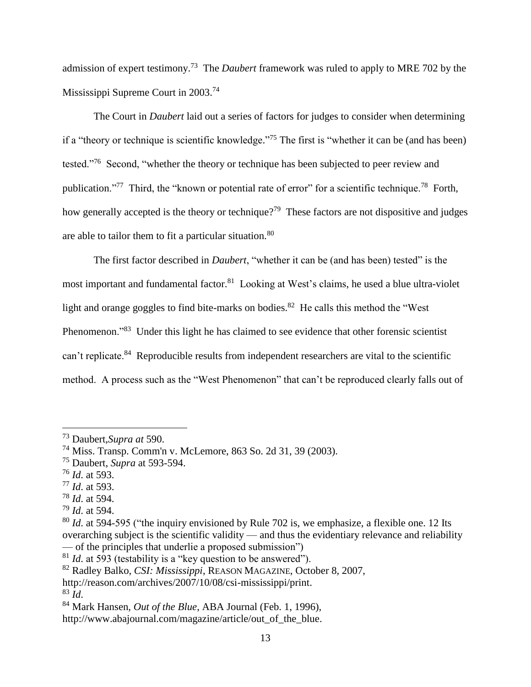admission of expert testimony.<sup>73</sup> The *Daubert* framework was ruled to apply to MRE 702 by the Mississippi Supreme Court in 2003.<sup>74</sup>

The Court in *Daubert* laid out a series of factors for judges to consider when determining if a "theory or technique is scientific knowledge." <sup>75</sup> The first is "whether it can be (and has been) tested."<sup>76</sup> Second, "whether the theory or technique has been subjected to peer review and publication."<sup>77</sup> Third, the "known or potential rate of error" for a scientific technique.<sup>78</sup> Forth, how generally accepted is the theory or technique?<sup>79</sup> These factors are not dispositive and judges are able to tailor them to fit a particular situation.<sup>80</sup>

The first factor described in *Daubert*, "whether it can be (and has been) tested" is the most important and fundamental factor.<sup>81</sup> Looking at West's claims, he used a blue ultra-violet light and orange goggles to find bite-marks on bodies.<sup>82</sup> He calls this method the "West Phenomenon."<sup>83</sup> Under this light he has claimed to see evidence that other forensic scientist can't replicate.<sup>84</sup> Reproducible results from independent researchers are vital to the scientific method. A process such as the "West Phenomenon" that can't be reproduced clearly falls out of

 $\overline{a}$ 

- <sup>77</sup> *Id*. at 593.
- <sup>78</sup> *Id*. at 594.

<sup>81</sup> *Id*. at 593 (testability is a "key question to be answered").

<sup>73</sup> Daubert,*Supra at* 590.

<sup>74</sup> Miss. Transp. Comm'n v. McLemore, 863 So. 2d 31, 39 (2003).

<sup>75</sup> Daubert, *Supra* at 593-594.

<sup>76</sup> *Id*. at 593.

<sup>79</sup> *Id*. at 594.

<sup>&</sup>lt;sup>80</sup> *Id.* at 594-595 ("the inquiry envisioned by Rule 702 is, we emphasize, a flexible one. 12 Its overarching subject is the scientific validity — and thus the evidentiary relevance and reliability — of the principles that underlie a proposed submission")

<sup>82</sup> Radley Balko, *CSI: Mississippi*, REASON MAGAZINE, October 8, 2007,

http://reason.com/archives/2007/10/08/csi-mississippi/print.

<sup>83</sup> *Id*.

<sup>84</sup> Mark Hansen, *Out of the Blue*, ABA Journal (Feb. 1, 1996),

http://www.abajournal.com/magazine/article/out of the blue.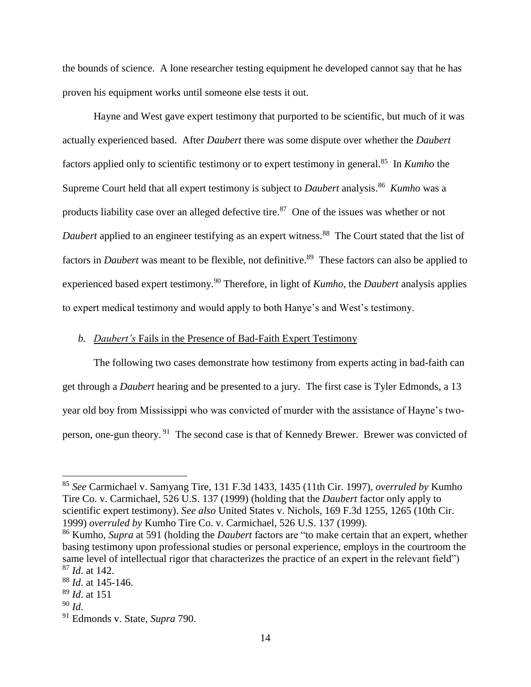the bounds of science. A lone researcher testing equipment he developed cannot say that he has proven his equipment works until someone else tests it out.

Hayne and West gave expert testimony that purported to be scientific, but much of it was actually experienced based. After *Daubert* there was some dispute over whether the *Daubert* factors applied only to scientific testimony or to expert testimony in general.<sup>85</sup> In *Kumho* the Supreme Court held that all expert testimony is subject to *Daubert* analysis.<sup>86</sup> Kumho was a products liability case over an alleged defective tire.<sup>87</sup> One of the issues was whether or not Daubert applied to an engineer testifying as an expert witness.<sup>88</sup> The Court stated that the list of factors in *Daubert* was meant to be flexible, not definitive.<sup>89</sup> These factors can also be applied to experienced based expert testimony.<sup>90</sup> Therefore, in light of *Kumho*, the *Daubert* analysis applies to expert medical testimony and would apply to both Hanye's and West's testimony.

#### <span id="page-13-0"></span>*b. Daubert's* Fails in the Presence of Bad-Faith Expert Testimony

The following two cases demonstrate how testimony from experts acting in bad-faith can get through a *Daubert* hearing and be presented to a jury. The first case is Tyler Edmonds, a 13 year old boy from Mississippi who was convicted of murder with the assistance of Hayne's twoperson, one-gun theory. <sup>91</sup> The second case is that of Kennedy Brewer. Brewer was convicted of

<sup>85</sup> *See* Carmichael v. Samyang Tire, 131 F.3d 1433, 1435 (11th Cir. 1997), *overruled by* Kumho Tire Co. v. Carmichael, 526 U.S. 137 (1999) (holding that the *Daubert* factor only apply to scientific expert testimony). *See also* United States v. Nichols, 169 F.3d 1255, 1265 (10th Cir. 1999) *overruled by* Kumho Tire Co. v. Carmichael, 526 U.S. 137 (1999).

<sup>86</sup> Kumho, *Supra* at 591 (holding the *Daubert* factors are "to make certain that an expert, whether basing testimony upon professional studies or personal experience, employs in the courtroom the same level of intellectual rigor that characterizes the practice of an expert in the relevant field") <sup>87</sup> *Id*. at 142.

<sup>88</sup> *Id*. at 145-146.

<sup>89</sup> *Id*. at 151

<sup>90</sup> *Id*.

<sup>91</sup> Edmonds v. State, *Supra* 790.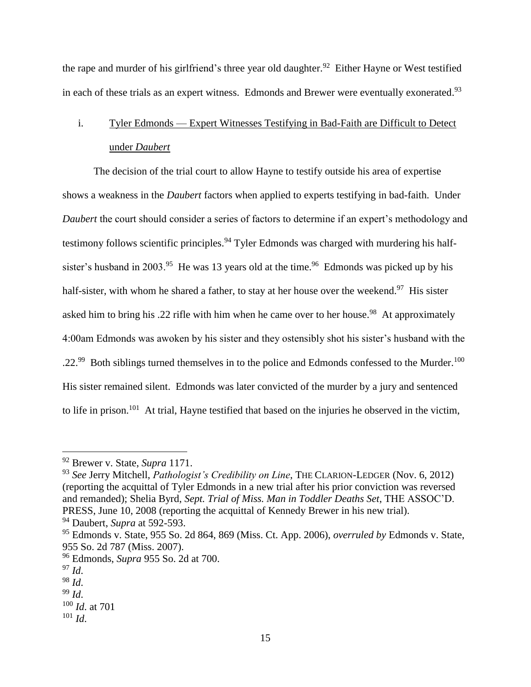the rape and murder of his girlfriend's three year old daughter.<sup>92</sup> Either Hayne or West testified in each of these trials as an expert witness. Edmonds and Brewer were eventually exonerated.<sup>93</sup>

### <span id="page-14-0"></span>i. Tyler Edmonds — Expert Witnesses Testifying in Bad-Faith are Difficult to Detect under *Daubert*

The decision of the trial court to allow Hayne to testify outside his area of expertise shows a weakness in the *Daubert* factors when applied to experts testifying in bad-faith. Under *Daubert* the court should consider a series of factors to determine if an expert's methodology and testimony follows scientific principles.<sup>94</sup> Tyler Edmonds was charged with murdering his halfsister's husband in 2003.<sup>95</sup> He was 13 years old at the time.<sup>96</sup> Edmonds was picked up by his half-sister, with whom he shared a father, to stay at her house over the weekend.<sup>97</sup> His sister asked him to bring his .22 rifle with him when he came over to her house.<sup>98</sup> At approximately 4:00am Edmonds was awoken by his sister and they ostensibly shot his sister's husband with the .22.<sup>99</sup> Both siblings turned themselves in to the police and Edmonds confessed to the Murder.<sup>100</sup> His sister remained silent. Edmonds was later convicted of the murder by a jury and sentenced to life in prison.<sup>101</sup> At trial, Hayne testified that based on the injuries he observed in the victim,

<sup>92</sup> Brewer v. State, *Supra* 1171.

<sup>93</sup> *See* Jerry Mitchell, *Pathologist's Credibility on Line*, THE CLARION-LEDGER (Nov. 6, 2012) (reporting the acquittal of Tyler Edmonds in a new trial after his prior conviction was reversed and remanded); Shelia Byrd, *Sept. Trial of Miss. Man in Toddler Deaths Set*, THE ASSOC'D. PRESS, June 10, 2008 (reporting the acquittal of Kennedy Brewer in his new trial).

<sup>94</sup> Daubert, *Supra* at 592-593.

<sup>95</sup> Edmonds v. State, 955 So. 2d 864, 869 (Miss. Ct. App. 2006), *overruled by* Edmonds v. State, 955 So. 2d 787 (Miss. 2007).

<sup>96</sup> Edmonds, *Supra* 955 So. 2d at 700.

<sup>97</sup> *Id*.

<sup>98</sup> *Id*.

<sup>99</sup> *Id*.

<sup>100</sup> *Id*. at 701

 $101$  *Id.*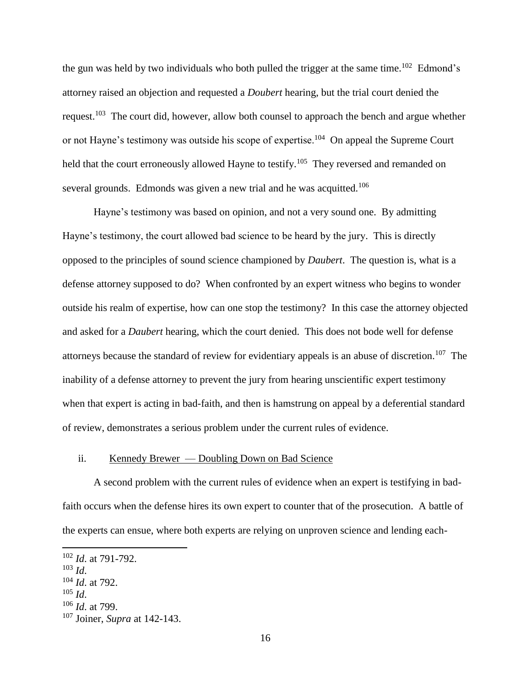the gun was held by two individuals who both pulled the trigger at the same time.<sup>102</sup> Edmond's attorney raised an objection and requested a *Doubert* hearing, but the trial court denied the request.<sup>103</sup> The court did, however, allow both counsel to approach the bench and argue whether or not Hayne's testimony was outside his scope of expertise.<sup>104</sup> On appeal the Supreme Court held that the court erroneously allowed Hayne to testify.<sup>105</sup> They reversed and remanded on several grounds. Edmonds was given a new trial and he was acquitted.<sup>106</sup>

Hayne's testimony was based on opinion, and not a very sound one. By admitting Hayne's testimony, the court allowed bad science to be heard by the jury. This is directly opposed to the principles of sound science championed by *Daubert*. The question is, what is a defense attorney supposed to do? When confronted by an expert witness who begins to wonder outside his realm of expertise, how can one stop the testimony? In this case the attorney objected and asked for a *Daubert* hearing, which the court denied. This does not bode well for defense attorneys because the standard of review for evidentiary appeals is an abuse of discretion.<sup>107</sup> The inability of a defense attorney to prevent the jury from hearing unscientific expert testimony when that expert is acting in bad-faith, and then is hamstrung on appeal by a deferential standard of review, demonstrates a serious problem under the current rules of evidence.

#### <span id="page-15-0"></span>ii. Kennedy Brewer — Doubling Down on Bad Science

A second problem with the current rules of evidence when an expert is testifying in badfaith occurs when the defense hires its own expert to counter that of the prosecution. A battle of the experts can ensue, where both experts are relying on unproven science and lending each-

<sup>102</sup> *Id*. at 791-792.

<sup>103</sup> *Id*.

<sup>104</sup> *Id*. at 792.

 $105$  *Id.* 

<sup>106</sup> *Id*. at 799.

<sup>107</sup> Joiner, *Supra* at 142-143.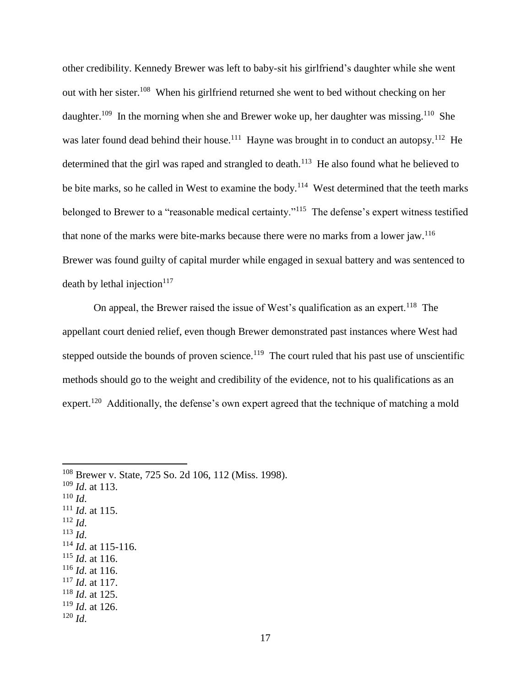other credibility. Kennedy Brewer was left to baby-sit his girlfriend's daughter while she went out with her sister.<sup>108</sup> When his girlfriend returned she went to bed without checking on her daughter.<sup>109</sup> In the morning when she and Brewer woke up, her daughter was missing.<sup>110</sup> She was later found dead behind their house.<sup>111</sup> Hayne was brought in to conduct an autopsy.<sup>112</sup> He determined that the girl was raped and strangled to death.<sup>113</sup> He also found what he believed to be bite marks, so he called in West to examine the body.<sup>114</sup> West determined that the teeth marks belonged to Brewer to a "reasonable medical certainty."<sup>115</sup> The defense's expert witness testified that none of the marks were bite-marks because there were no marks from a lower jaw.<sup>116</sup> Brewer was found guilty of capital murder while engaged in sexual battery and was sentenced to death by lethal injection $117$ 

On appeal, the Brewer raised the issue of West's qualification as an expert.<sup>118</sup> The appellant court denied relief, even though Brewer demonstrated past instances where West had stepped outside the bounds of proven science.<sup>119</sup> The court ruled that his past use of unscientific methods should go to the weight and credibility of the evidence, not to his qualifications as an expert.<sup>120</sup> Additionally, the defense's own expert agreed that the technique of matching a mold

- <sup>109</sup> *Id*. at 113.
- $110$  *Id.*

- <sup>111</sup> *Id*. at 115.
- <sup>112</sup> *Id*. <sup>113</sup> *Id*.
- <sup>114</sup> *Id*. at 115-116.
- <sup>115</sup> *Id*. at 116.
- <sup>116</sup> *Id*. at 116.
- <sup>117</sup> *Id*. at 117.
- <sup>118</sup> *Id*. at 125.
- <sup>119</sup> *Id*. at 126.
- $120$  *Id.*

<sup>108</sup> Brewer v. State, 725 So. 2d 106, 112 (Miss. 1998).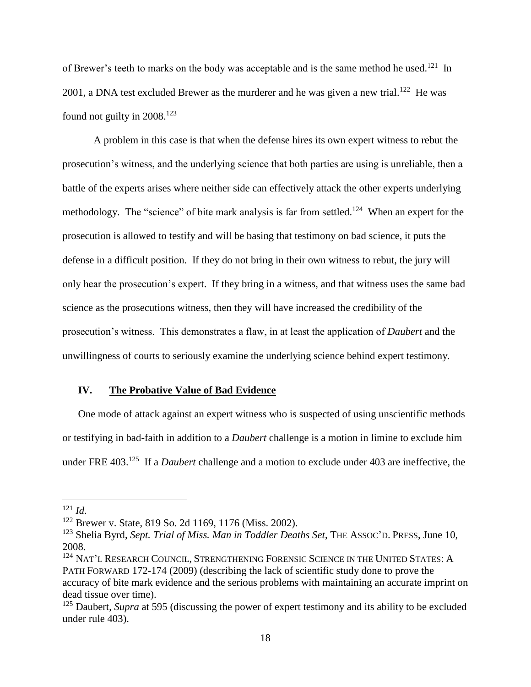of Brewer's teeth to marks on the body was acceptable and is the same method he used.<sup>121</sup> In 2001, a DNA test excluded Brewer as the murderer and he was given a new trial.<sup>122</sup> He was found not guilty in  $2008$ <sup>123</sup>

A problem in this case is that when the defense hires its own expert witness to rebut the prosecution's witness, and the underlying science that both parties are using is unreliable, then a battle of the experts arises where neither side can effectively attack the other experts underlying methodology. The "science" of bite mark analysis is far from settled.<sup>124</sup> When an expert for the prosecution is allowed to testify and will be basing that testimony on bad science, it puts the defense in a difficult position. If they do not bring in their own witness to rebut, the jury will only hear the prosecution's expert. If they bring in a witness, and that witness uses the same bad science as the prosecutions witness, then they will have increased the credibility of the prosecution's witness. This demonstrates a flaw, in at least the application of *Daubert* and the unwillingness of courts to seriously examine the underlying science behind expert testimony.

#### <span id="page-17-0"></span>**IV. The Probative Value of Bad Evidence**

One mode of attack against an expert witness who is suspected of using unscientific methods or testifying in bad-faith in addition to a *Daubert* challenge is a motion in limine to exclude him under FRE 403.<sup>125</sup> If a *Daubert* challenge and a motion to exclude under 403 are ineffective, the

<sup>121</sup> *Id*.

<sup>122</sup> Brewer v. State, 819 So. 2d 1169, 1176 (Miss. 2002).

<sup>123</sup> Shelia Byrd, *Sept. Trial of Miss. Man in Toddler Deaths Set*, THE ASSOC'D. PRESS, June 10, 2008.

<sup>&</sup>lt;sup>124</sup> NAT'L RESEARCH COUNCIL, STRENGTHENING FORENSIC SCIENCE IN THE UNITED STATES: A PATH FORWARD 172-174 (2009) (describing the lack of scientific study done to prove the accuracy of bite mark evidence and the serious problems with maintaining an accurate imprint on dead tissue over time).

<sup>&</sup>lt;sup>125</sup> Daubert, *Supra* at 595 (discussing the power of expert testimony and its ability to be excluded under rule 403).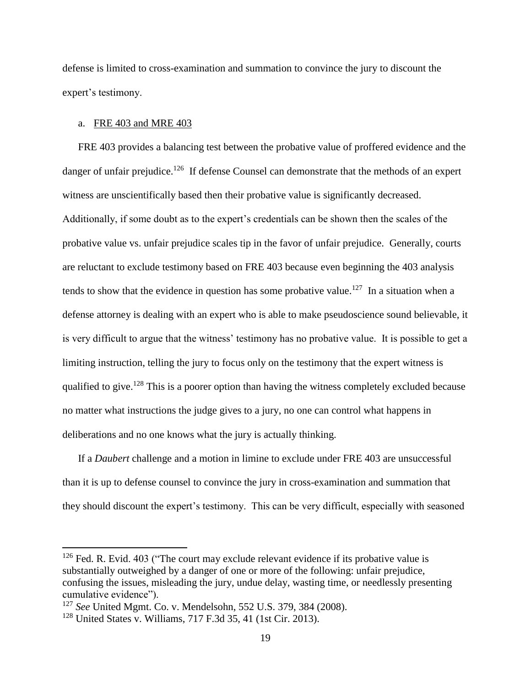defense is limited to cross-examination and summation to convince the jury to discount the expert's testimony.

#### <span id="page-18-0"></span>a. FRE 403 and MRE 403

FRE 403 provides a balancing test between the probative value of proffered evidence and the danger of unfair prejudice.<sup>126</sup> If defense Counsel can demonstrate that the methods of an expert witness are unscientifically based then their probative value is significantly decreased. Additionally, if some doubt as to the expert's credentials can be shown then the scales of the probative value vs. unfair prejudice scales tip in the favor of unfair prejudice. Generally, courts are reluctant to exclude testimony based on FRE 403 because even beginning the 403 analysis tends to show that the evidence in question has some probative value.<sup>127</sup> In a situation when a defense attorney is dealing with an expert who is able to make pseudoscience sound believable, it is very difficult to argue that the witness' testimony has no probative value. It is possible to get a limiting instruction, telling the jury to focus only on the testimony that the expert witness is qualified to give.<sup>128</sup> This is a poorer option than having the witness completely excluded because no matter what instructions the judge gives to a jury, no one can control what happens in deliberations and no one knows what the jury is actually thinking.

If a *Daubert* challenge and a motion in limine to exclude under FRE 403 are unsuccessful than it is up to defense counsel to convince the jury in cross-examination and summation that they should discount the expert's testimony. This can be very difficult, especially with seasoned

 $126$  Fed. R. Evid. 403 ("The court may exclude relevant evidence if its probative value is substantially outweighed by a danger of one or more of the following: unfair prejudice, confusing the issues, misleading the jury, undue delay, wasting time, or needlessly presenting cumulative evidence").

<sup>127</sup> *See* United Mgmt. Co. v. Mendelsohn, 552 U.S. 379, 384 (2008).

<sup>128</sup> United States v. Williams, 717 F.3d 35, 41 (1st Cir. 2013).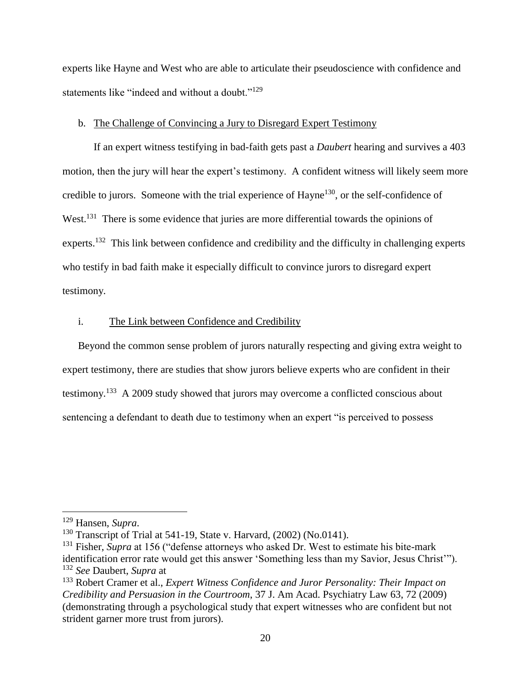experts like Hayne and West who are able to articulate their pseudoscience with confidence and statements like "indeed and without a doubt."<sup>129</sup>

#### <span id="page-19-0"></span>b. The Challenge of Convincing a Jury to Disregard Expert Testimony

If an expert witness testifying in bad-faith gets past a *Daubert* hearing and survives a 403 motion, then the jury will hear the expert's testimony. A confident witness will likely seem more credible to jurors. Someone with the trial experience of Hayne<sup>130</sup>, or the self-confidence of West.<sup>131</sup> There is some evidence that juries are more differential towards the opinions of experts.<sup>132</sup> This link between confidence and credibility and the difficulty in challenging experts who testify in bad faith make it especially difficult to convince jurors to disregard expert testimony.

#### <span id="page-19-1"></span>i. The Link between Confidence and Credibility

Beyond the common sense problem of jurors naturally respecting and giving extra weight to expert testimony, there are studies that show jurors believe experts who are confident in their testimony.<sup>133</sup> A 2009 study showed that jurors may overcome a conflicted conscious about sentencing a defendant to death due to testimony when an expert "is perceived to possess

<sup>129</sup> Hansen, *Supra*.

 $130$  Transcript of Trial at 541-19, State v. Harvard, (2002) (No.0141).

<sup>&</sup>lt;sup>131</sup> Fisher, *Supra* at 156 ("defense attorneys who asked Dr. West to estimate his bite-mark identification error rate would get this answer 'Something less than my Savior, Jesus Christ'"). <sup>132</sup> *See* Daubert, *Supra* at

<sup>&</sup>lt;sup>133</sup> Robert Cramer et al., *Expert Witness Confidence and Juror Personality: Their Impact on Credibility and Persuasion in the Courtroom*, 37 J. Am Acad. Psychiatry Law 63, 72 (2009) (demonstrating through a psychological study that expert witnesses who are confident but not strident garner more trust from jurors).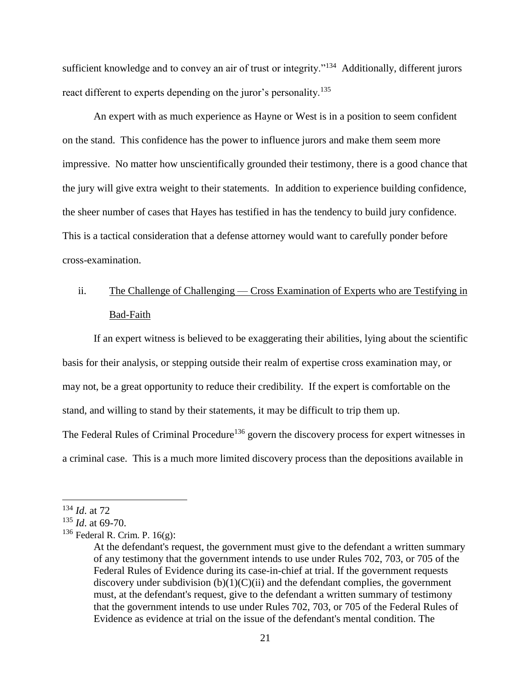sufficient knowledge and to convey an air of trust or integrity."<sup>134</sup> Additionally, different jurors react different to experts depending on the juror's personality.<sup>135</sup>

An expert with as much experience as Hayne or West is in a position to seem confident on the stand. This confidence has the power to influence jurors and make them seem more impressive. No matter how unscientifically grounded their testimony, there is a good chance that the jury will give extra weight to their statements. In addition to experience building confidence, the sheer number of cases that Hayes has testified in has the tendency to build jury confidence. This is a tactical consideration that a defense attorney would want to carefully ponder before cross-examination.

# <span id="page-20-0"></span>ii. The Challenge of Challenging — Cross Examination of Experts who are Testifying in Bad-Faith

If an expert witness is believed to be exaggerating their abilities, lying about the scientific basis for their analysis, or stepping outside their realm of expertise cross examination may, or may not, be a great opportunity to reduce their credibility. If the expert is comfortable on the stand, and willing to stand by their statements, it may be difficult to trip them up. The Federal Rules of Criminal Procedure<sup>136</sup> govern the discovery process for expert witnesses in a criminal case. This is a much more limited discovery process than the depositions available in

<sup>134</sup> *Id*. at 72

<sup>135</sup> *Id*. at 69-70.

 $136$  Federal R. Crim. P. 16(g):

At the defendant's request, the government must give to the defendant a written summary of any testimony that the government intends to use under Rules 702, 703, or 705 of the Federal Rules of Evidence during its case-in-chief at trial. If the government requests discovery under subdivision  $(b)(1)(C)(ii)$  and the defendant complies, the government must, at the defendant's request, give to the defendant a written summary of testimony that the government intends to use under Rules 702, 703, or 705 of the Federal Rules of Evidence as evidence at trial on the issue of the defendant's mental condition. The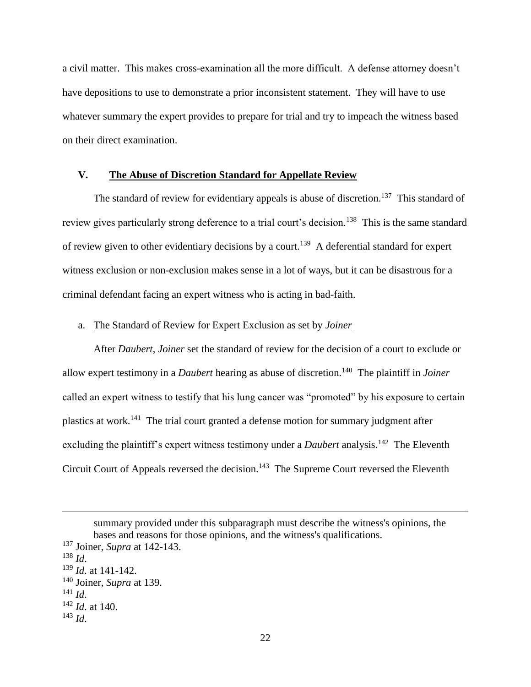a civil matter. This makes cross-examination all the more difficult. A defense attorney doesn't have depositions to use to demonstrate a prior inconsistent statement. They will have to use whatever summary the expert provides to prepare for trial and try to impeach the witness based on their direct examination.

#### <span id="page-21-0"></span>**V. The Abuse of Discretion Standard for Appellate Review**

The standard of review for evidentiary appeals is abuse of discretion.<sup>137</sup> This standard of review gives particularly strong deference to a trial court's decision.<sup>138</sup> This is the same standard of review given to other evidentiary decisions by a court.<sup>139</sup> A deferential standard for expert witness exclusion or non-exclusion makes sense in a lot of ways, but it can be disastrous for a criminal defendant facing an expert witness who is acting in bad-faith.

#### <span id="page-21-1"></span>a. The Standard of Review for Expert Exclusion as set by *Joiner*

After *Daubert*, *Joiner* set the standard of review for the decision of a court to exclude or allow expert testimony in a *Daubert* hearing as abuse of discretion.<sup>140</sup> The plaintiff in *Joiner* called an expert witness to testify that his lung cancer was "promoted" by his exposure to certain plastics at work.<sup>141</sup> The trial court granted a defense motion for summary judgment after excluding the plaintiff's expert witness testimony under a *Daubert* analysis.<sup>142</sup> The Eleventh Circuit Court of Appeals reversed the decision.<sup>143</sup> The Supreme Court reversed the Eleventh

summary provided under this subparagraph must describe the witness's opinions, the bases and reasons for those opinions, and the witness's qualifications.

<sup>138</sup> *Id*.

 $\overline{a}$ 

<sup>141</sup> *Id*.

<sup>137</sup> Joiner, *Supra* at 142-143.

<sup>139</sup> *Id*. at 141-142.

<sup>140</sup> Joiner, *Supra* at 139.

<sup>142</sup> *Id*. at 140.

 $^{143}$  *Id.*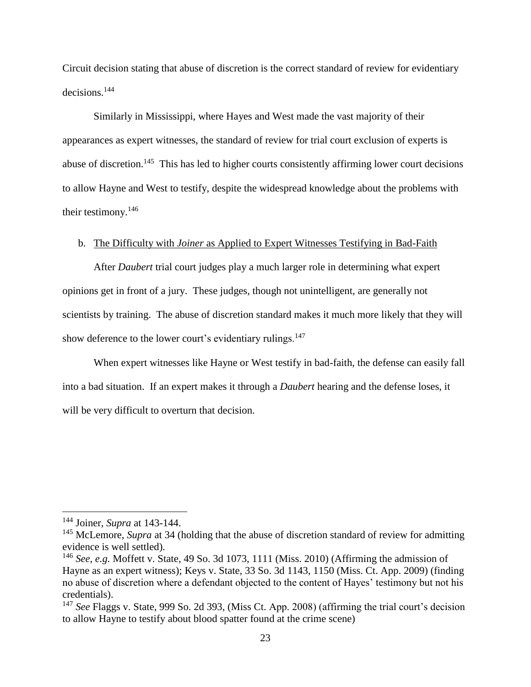Circuit decision stating that abuse of discretion is the correct standard of review for evidentiary decisions.<sup>144</sup>

Similarly in Mississippi, where Hayes and West made the vast majority of their appearances as expert witnesses, the standard of review for trial court exclusion of experts is abuse of discretion.<sup>145</sup> This has led to higher courts consistently affirming lower court decisions to allow Hayne and West to testify, despite the widespread knowledge about the problems with their testimony.<sup>146</sup>

#### <span id="page-22-0"></span>b. The Difficulty with *Joiner* as Applied to Expert Witnesses Testifying in Bad-Faith

After *Daubert* trial court judges play a much larger role in determining what expert opinions get in front of a jury. These judges, though not unintelligent, are generally not scientists by training. The abuse of discretion standard makes it much more likely that they will show deference to the lower court's evidentiary rulings. $147$ 

When expert witnesses like Hayne or West testify in bad-faith, the defense can easily fall into a bad situation. If an expert makes it through a *Daubert* hearing and the defense loses, it will be very difficult to overturn that decision.

<sup>144</sup> Joiner, *Supra* at 143-144.

<sup>145</sup> McLemore, *Supra* at 34 (holding that the abuse of discretion standard of review for admitting evidence is well settled).

<sup>146</sup> *See*, *e.g.* Moffett v. State, 49 So. 3d 1073, 1111 (Miss. 2010) (Affirming the admission of Hayne as an expert witness); Keys v. State, 33 So. 3d 1143, 1150 (Miss. Ct. App. 2009) (finding no abuse of discretion where a defendant objected to the content of Hayes' testimony but not his credentials).

<sup>147</sup> *See* Flaggs v. State, 999 So. 2d 393, (Miss Ct. App. 2008) (affirming the trial court's decision to allow Hayne to testify about blood spatter found at the crime scene)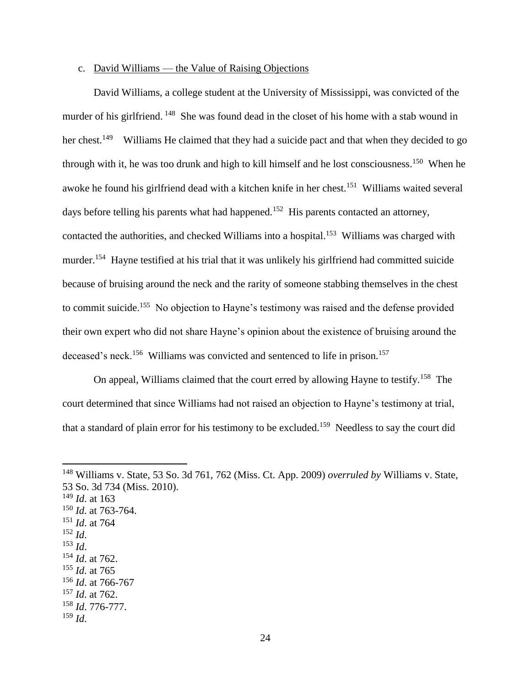#### <span id="page-23-0"></span>c. David Williams — the Value of Raising Objections

David Williams, a college student at the University of Mississippi, was convicted of the murder of his girlfriend. <sup>148</sup> She was found dead in the closet of his home with a stab wound in her chest.<sup>149</sup> Williams He claimed that they had a suicide pact and that when they decided to go through with it, he was too drunk and high to kill himself and he lost consciousness.<sup>150</sup> When he awoke he found his girlfriend dead with a kitchen knife in her chest.<sup>151</sup> Williams waited several days before telling his parents what had happened.<sup>152</sup> His parents contacted an attorney, contacted the authorities, and checked Williams into a hospital.<sup>153</sup> Williams was charged with murder.<sup>154</sup> Hayne testified at his trial that it was unlikely his girlfriend had committed suicide because of bruising around the neck and the rarity of someone stabbing themselves in the chest to commit suicide.<sup>155</sup> No objection to Hayne's testimony was raised and the defense provided their own expert who did not share Hayne's opinion about the existence of bruising around the deceased's neck.<sup>156</sup> Williams was convicted and sentenced to life in prison.<sup>157</sup>

On appeal, Williams claimed that the court erred by allowing Hayne to testify.<sup>158</sup> The court determined that since Williams had not raised an objection to Hayne's testimony at trial, that a standard of plain error for his testimony to be excluded.<sup>159</sup> Needless to say the court did

<sup>148</sup> Williams v. State, 53 So. 3d 761, 762 (Miss. Ct. App. 2009) *overruled by* Williams v. State, 53 So. 3d 734 (Miss. 2010). <sup>149</sup> *Id*. at 163 <sup>150</sup> *Id*. at 763-764. <sup>151</sup> *Id*. at 764  $152$  *Id.* <sup>153</sup> *Id*.

<sup>154</sup> *Id*. at 762.

<sup>155</sup> *Id*. at 765

<sup>156</sup> *Id*. at 766-767

<sup>157</sup> *Id*. at 762.

<sup>158</sup> *Id*. 776-777.

 $^{159}$  *Id.*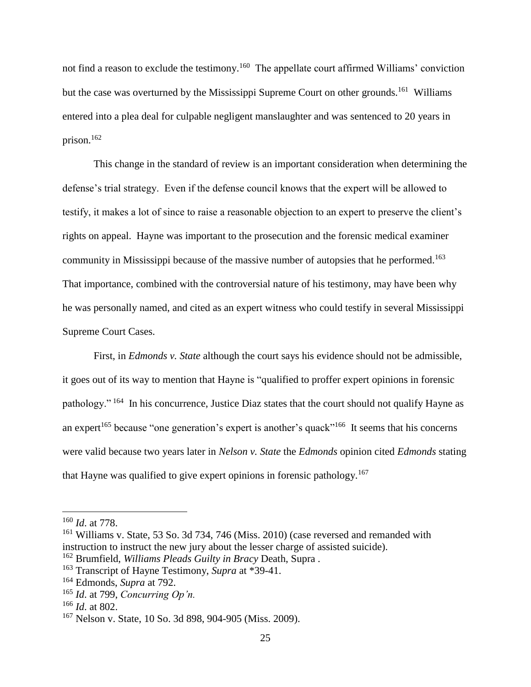not find a reason to exclude the testimony.<sup>160</sup> The appellate court affirmed Williams' conviction but the case was overturned by the Mississippi Supreme Court on other grounds.<sup>161</sup> Williams entered into a plea deal for culpable negligent manslaughter and was sentenced to 20 years in prison. $162$ 

This change in the standard of review is an important consideration when determining the defense's trial strategy. Even if the defense council knows that the expert will be allowed to testify, it makes a lot of since to raise a reasonable objection to an expert to preserve the client's rights on appeal. Hayne was important to the prosecution and the forensic medical examiner community in Mississippi because of the massive number of autopsies that he performed.<sup>163</sup> That importance, combined with the controversial nature of his testimony, may have been why he was personally named, and cited as an expert witness who could testify in several Mississippi Supreme Court Cases.

First, in *Edmonds v. State* although the court says his evidence should not be admissible, it goes out of its way to mention that Hayne is "qualified to proffer expert opinions in forensic pathology."<sup>164</sup> In his concurrence, Justice Diaz states that the court should not qualify Hayne as an expert<sup>165</sup> because "one generation's expert is another's quack"<sup>166</sup> It seems that his concerns were valid because two years later in *Nelson v. State* the *Edmonds* opinion cited *Edmonds* stating that Hayne was qualified to give expert opinions in forensic pathology.<sup>167</sup>

<sup>160</sup> *Id*. at 778.

<sup>&</sup>lt;sup>161</sup> Williams v. State, 53 So. 3d 734, 746 (Miss. 2010) (case reversed and remanded with instruction to instruct the new jury about the lesser charge of assisted suicide).

<sup>162</sup> Brumfield, *Williams Pleads Guilty in Bracy* Death, Supra .

<sup>163</sup> Transcript of Hayne Testimony, *Supra* at \*39-41.

<sup>164</sup> Edmonds, *Supra* at 792.

<sup>165</sup> *Id*. at 799, *Concurring Op'n.*

<sup>166</sup> *Id*. at 802.

<sup>167</sup> Nelson v. State, 10 So. 3d 898, 904-905 (Miss. 2009).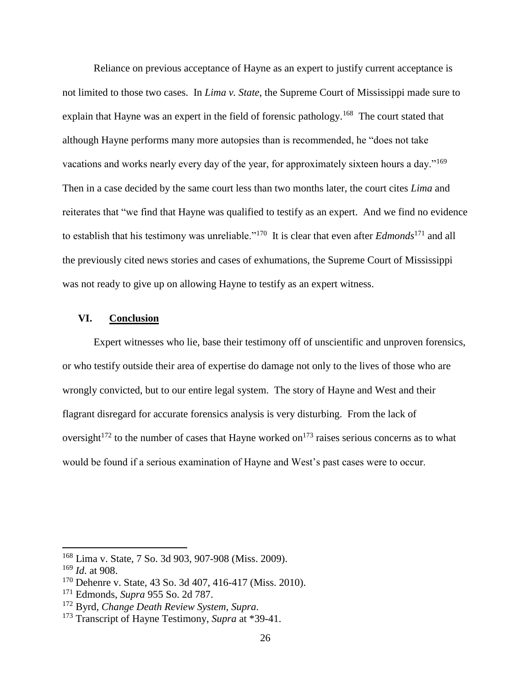Reliance on previous acceptance of Hayne as an expert to justify current acceptance is not limited to those two cases. In *Lima v. State*, the Supreme Court of Mississippi made sure to explain that Hayne was an expert in the field of forensic pathology.<sup>168</sup> The court stated that although Hayne performs many more autopsies than is recommended, he "does not take vacations and works nearly every day of the year, for approximately sixteen hours a day."<sup>169</sup> Then in a case decided by the same court less than two months later, the court cites *Lima* and reiterates that "we find that Hayne was qualified to testify as an expert. And we find no evidence to establish that his testimony was unreliable."<sup>170</sup> It is clear that even after *Edmonds*<sup>171</sup> and all the previously cited news stories and cases of exhumations, the Supreme Court of Mississippi was not ready to give up on allowing Hayne to testify as an expert witness.

#### <span id="page-25-0"></span>**VI. Conclusion**

Expert witnesses who lie, base their testimony off of unscientific and unproven forensics, or who testify outside their area of expertise do damage not only to the lives of those who are wrongly convicted, but to our entire legal system. The story of Hayne and West and their flagrant disregard for accurate forensics analysis is very disturbing. From the lack of oversight<sup>172</sup> to the number of cases that Hayne worked on<sup>173</sup> raises serious concerns as to what would be found if a serious examination of Hayne and West's past cases were to occur.

<sup>168</sup> Lima v. State, 7 So. 3d 903, 907-908 (Miss. 2009).

<sup>169</sup> *Id*. at 908.

<sup>170</sup> Dehenre v. State, 43 So. 3d 407, 416-417 (Miss. 2010).

<sup>171</sup> Edmonds, *Supra* 955 So. 2d 787.

<sup>172</sup> Byrd, *Change Death Review System*, *Supra*.

<sup>173</sup> Transcript of Hayne Testimony, *Supra* at \*39-41.